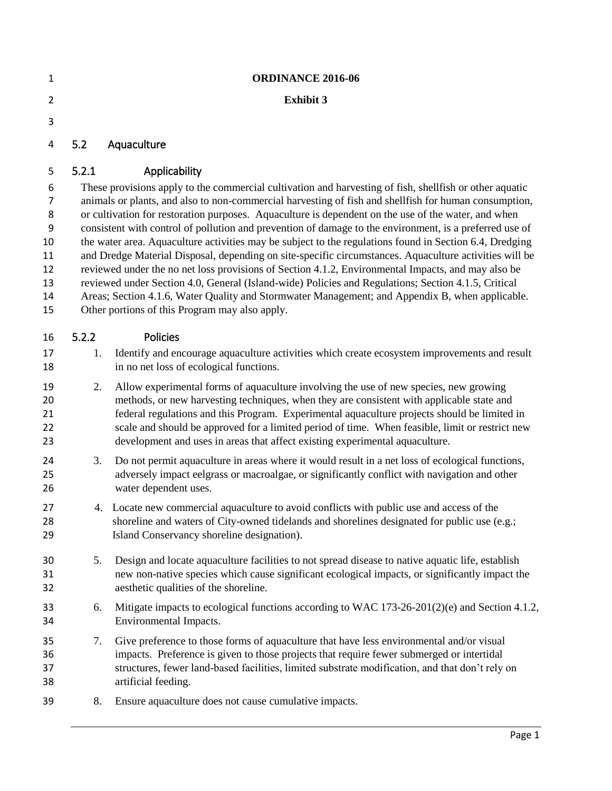| $\mathbf{1}$   | <b>ORDINANCE 2016-06</b>                                                                                                                                                                                       |                                                                                                                                                                                              |  |  |  |  |
|----------------|----------------------------------------------------------------------------------------------------------------------------------------------------------------------------------------------------------------|----------------------------------------------------------------------------------------------------------------------------------------------------------------------------------------------|--|--|--|--|
| $\overline{2}$ |                                                                                                                                                                                                                | <b>Exhibit 3</b>                                                                                                                                                                             |  |  |  |  |
| 3              |                                                                                                                                                                                                                |                                                                                                                                                                                              |  |  |  |  |
| 4              | 5.2                                                                                                                                                                                                            | Aquaculture                                                                                                                                                                                  |  |  |  |  |
| 5              | 5.2.1                                                                                                                                                                                                          | Applicability                                                                                                                                                                                |  |  |  |  |
| 6              | These provisions apply to the commercial cultivation and harvesting of fish, shellfish or other aquatic                                                                                                        |                                                                                                                                                                                              |  |  |  |  |
| 7<br>8         | animals or plants, and also to non-commercial harvesting of fish and shellfish for human consumption,                                                                                                          |                                                                                                                                                                                              |  |  |  |  |
| 9              | or cultivation for restoration purposes. Aquaculture is dependent on the use of the water, and when<br>consistent with control of pollution and prevention of damage to the environment, is a preferred use of |                                                                                                                                                                                              |  |  |  |  |
| 10             | the water area. Aquaculture activities may be subject to the regulations found in Section 6.4, Dredging                                                                                                        |                                                                                                                                                                                              |  |  |  |  |
| 11             | and Dredge Material Disposal, depending on site-specific circumstances. Aquaculture activities will be                                                                                                         |                                                                                                                                                                                              |  |  |  |  |
| 12<br>13       | reviewed under the no net loss provisions of Section 4.1.2, Environmental Impacts, and may also be                                                                                                             |                                                                                                                                                                                              |  |  |  |  |
| 14             | reviewed under Section 4.0, General (Island-wide) Policies and Regulations; Section 4.1.5, Critical<br>Areas; Section 4.1.6, Water Quality and Stormwater Management; and Appendix B, when applicable.         |                                                                                                                                                                                              |  |  |  |  |
| 15             | Other portions of this Program may also apply.                                                                                                                                                                 |                                                                                                                                                                                              |  |  |  |  |
| 16             | 5.2.2                                                                                                                                                                                                          | Policies                                                                                                                                                                                     |  |  |  |  |
| 17             | 1.                                                                                                                                                                                                             | Identify and encourage aquaculture activities which create ecosystem improvements and result                                                                                                 |  |  |  |  |
| 18             |                                                                                                                                                                                                                | in no net loss of ecological functions.                                                                                                                                                      |  |  |  |  |
| 19             | 2.                                                                                                                                                                                                             | Allow experimental forms of aquaculture involving the use of new species, new growing                                                                                                        |  |  |  |  |
| 20<br>21       |                                                                                                                                                                                                                | methods, or new harvesting techniques, when they are consistent with applicable state and<br>federal regulations and this Program. Experimental aquaculture projects should be limited in    |  |  |  |  |
| 22             |                                                                                                                                                                                                                | scale and should be approved for a limited period of time. When feasible, limit or restrict new                                                                                              |  |  |  |  |
| 23             |                                                                                                                                                                                                                | development and uses in areas that affect existing experimental aquaculture.                                                                                                                 |  |  |  |  |
| 24             | 3.                                                                                                                                                                                                             | Do not permit aquaculture in areas where it would result in a net loss of ecological functions,                                                                                              |  |  |  |  |
| 25             |                                                                                                                                                                                                                | adversely impact eelgrass or macroalgae, or significantly conflict with navigation and other<br>water dependent uses.                                                                        |  |  |  |  |
| 26             |                                                                                                                                                                                                                |                                                                                                                                                                                              |  |  |  |  |
| 27<br>28       |                                                                                                                                                                                                                | 4. Locate new commercial aquaculture to avoid conflicts with public use and access of the<br>shoreline and waters of City-owned tidelands and shorelines designated for public use (e.g.;    |  |  |  |  |
| 29             |                                                                                                                                                                                                                | Island Conservancy shoreline designation).                                                                                                                                                   |  |  |  |  |
| 30             | 5.                                                                                                                                                                                                             | Design and locate aquaculture facilities to not spread disease to native aquatic life, establish                                                                                             |  |  |  |  |
| 31             |                                                                                                                                                                                                                | new non-native species which cause significant ecological impacts, or significantly impact the                                                                                               |  |  |  |  |
| 32             |                                                                                                                                                                                                                | aesthetic qualities of the shoreline.                                                                                                                                                        |  |  |  |  |
| 33             | 6.                                                                                                                                                                                                             | Mitigate impacts to ecological functions according to WAC 173-26-201(2)(e) and Section 4.1.2,                                                                                                |  |  |  |  |
| 34             |                                                                                                                                                                                                                | Environmental Impacts.                                                                                                                                                                       |  |  |  |  |
| 35             | 7.                                                                                                                                                                                                             | Give preference to those forms of aquaculture that have less environmental and/or visual                                                                                                     |  |  |  |  |
| 36<br>37       |                                                                                                                                                                                                                | impacts. Preference is given to those projects that require fewer submerged or intertidal<br>structures, fewer land-based facilities, limited substrate modification, and that don't rely on |  |  |  |  |
| 38             |                                                                                                                                                                                                                | artificial feeding.                                                                                                                                                                          |  |  |  |  |
| 39             | 8.                                                                                                                                                                                                             | Ensure aquaculture does not cause cumulative impacts.                                                                                                                                        |  |  |  |  |
|                |                                                                                                                                                                                                                |                                                                                                                                                                                              |  |  |  |  |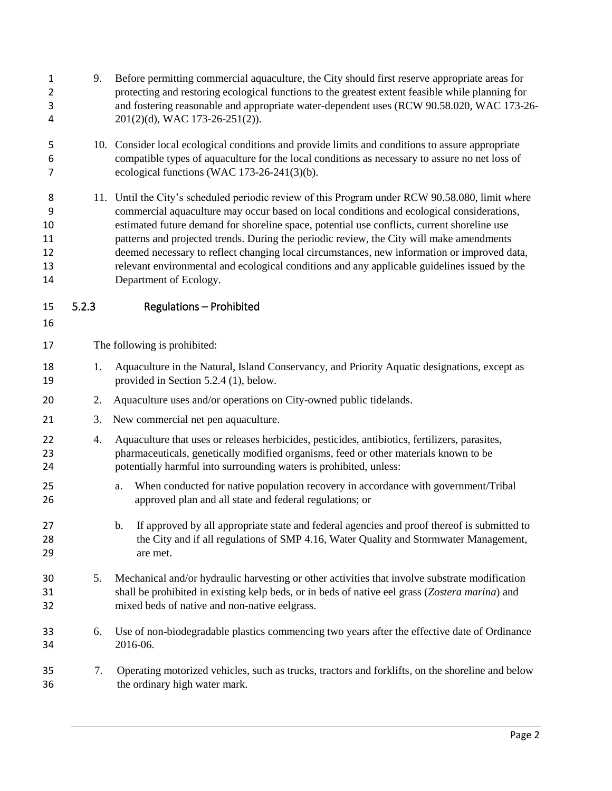| 1<br>$\overline{2}$<br>3<br>4        | 9.    | Before permitting commercial aquaculture, the City should first reserve appropriate areas for<br>protecting and restoring ecological functions to the greatest extent feasible while planning for<br>and fostering reasonable and appropriate water-dependent uses (RCW 90.58.020, WAC 173-26-<br>201(2)(d), WAC 173-26-251(2)).                                                                                                                                                                                                                                                                                 |  |  |  |
|--------------------------------------|-------|------------------------------------------------------------------------------------------------------------------------------------------------------------------------------------------------------------------------------------------------------------------------------------------------------------------------------------------------------------------------------------------------------------------------------------------------------------------------------------------------------------------------------------------------------------------------------------------------------------------|--|--|--|
| 5<br>6<br>7                          |       | 10. Consider local ecological conditions and provide limits and conditions to assure appropriate<br>compatible types of aquaculture for the local conditions as necessary to assure no net loss of<br>ecological functions (WAC $173-26-241(3)(b)$ .                                                                                                                                                                                                                                                                                                                                                             |  |  |  |
| 8<br>9<br>10<br>11<br>12<br>13<br>14 |       | 11. Until the City's scheduled periodic review of this Program under RCW 90.58.080, limit where<br>commercial aquaculture may occur based on local conditions and ecological considerations,<br>estimated future demand for shoreline space, potential use conflicts, current shoreline use<br>patterns and projected trends. During the periodic review, the City will make amendments<br>deemed necessary to reflect changing local circumstances, new information or improved data,<br>relevant environmental and ecological conditions and any applicable guidelines issued by the<br>Department of Ecology. |  |  |  |
| 15<br>16                             | 5.2.3 | <b>Regulations - Prohibited</b>                                                                                                                                                                                                                                                                                                                                                                                                                                                                                                                                                                                  |  |  |  |
| 17                                   |       | The following is prohibited:                                                                                                                                                                                                                                                                                                                                                                                                                                                                                                                                                                                     |  |  |  |
| 18<br>19                             | 1.    | Aquaculture in the Natural, Island Conservancy, and Priority Aquatic designations, except as<br>provided in Section 5.2.4 (1), below.                                                                                                                                                                                                                                                                                                                                                                                                                                                                            |  |  |  |
| 20                                   | 2.    | Aquaculture uses and/or operations on City-owned public tidelands.                                                                                                                                                                                                                                                                                                                                                                                                                                                                                                                                               |  |  |  |
| 21                                   | 3.    | New commercial net pen aquaculture.                                                                                                                                                                                                                                                                                                                                                                                                                                                                                                                                                                              |  |  |  |
| 22<br>23<br>24                       | 4.    | Aquaculture that uses or releases herbicides, pesticides, antibiotics, fertilizers, parasites,<br>pharmaceuticals, genetically modified organisms, feed or other materials known to be<br>potentially harmful into surrounding waters is prohibited, unless:                                                                                                                                                                                                                                                                                                                                                     |  |  |  |
| 25<br>26                             |       | When conducted for native population recovery in accordance with government/Tribal<br>a.<br>approved plan and all state and federal regulations; or                                                                                                                                                                                                                                                                                                                                                                                                                                                              |  |  |  |
| 27<br>28<br>29                       |       | If approved by all appropriate state and federal agencies and proof thereof is submitted to<br>b.<br>the City and if all regulations of SMP 4.16, Water Quality and Stormwater Management,<br>are met.                                                                                                                                                                                                                                                                                                                                                                                                           |  |  |  |
| 30<br>31<br>32                       | 5.    | Mechanical and/or hydraulic harvesting or other activities that involve substrate modification<br>shall be prohibited in existing kelp beds, or in beds of native eel grass (Zostera marina) and<br>mixed beds of native and non-native eelgrass.                                                                                                                                                                                                                                                                                                                                                                |  |  |  |
| 33<br>34                             | 6.    | Use of non-biodegradable plastics commencing two years after the effective date of Ordinance<br>2016-06.                                                                                                                                                                                                                                                                                                                                                                                                                                                                                                         |  |  |  |
| 35<br>36                             | 7.    | Operating motorized vehicles, such as trucks, tractors and forklifts, on the shoreline and below<br>the ordinary high water mark.                                                                                                                                                                                                                                                                                                                                                                                                                                                                                |  |  |  |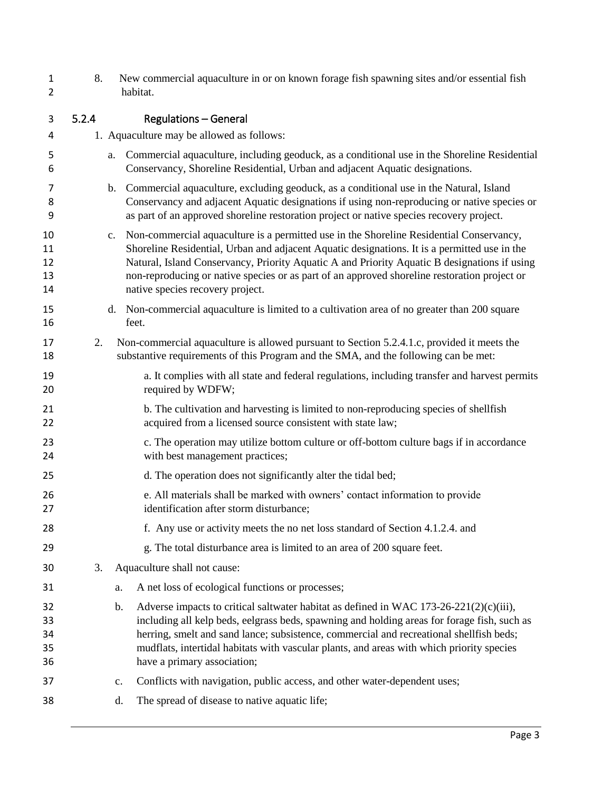- 8. New commercial aquaculture in or on known forage fish spawning sites and/or essential fish habitat.
- 5.2.4 Regulations General 1. Aquaculture may be allowed as follows: a. Commercial aquaculture, including geoduck, as a conditional use in the Shoreline Residential Conservancy, Shoreline Residential, Urban and adjacent Aquatic designations. b. Commercial aquaculture, excluding geoduck, as a conditional use in the Natural, Island Conservancy and adjacent Aquatic designations if using non-reproducing or native species or as part of an approved shoreline restoration project or native species recovery project. c. Non-commercial aquaculture is a permitted use in the Shoreline Residential Conservancy, Shoreline Residential, Urban and adjacent Aquatic designations. It is a permitted use in the Natural, Island Conservancy, Priority Aquatic A and Priority Aquatic B designations if using non-reproducing or native species or as part of an approved shoreline restoration project or native species recovery project. d. Non-commercial aquaculture is limited to a cultivation area of no greater than 200 square feet. 2. Non-commercial aquaculture is allowed pursuant to Section 5.2.4.1.c, provided it meets the substantive requirements of this Program and the SMA, and the following can be met: a. It complies with all state and federal regulations, including transfer and harvest permits 20 required by WDFW; 21 b. The cultivation and harvesting is limited to non-reproducing species of shellfish 22 acquired from a licensed source consistent with state law; c. The operation may utilize bottom culture or off-bottom culture bags if in accordance with best management practices; d. The operation does not significantly alter the tidal bed; e. All materials shall be marked with owners' contact information to provide identification after storm disturbance; f. Any use or activity meets the no net loss standard of Section 4.1.2.4. and g. The total disturbance area is limited to an area of 200 square feet. 3. Aquaculture shall not cause: a. A net loss of ecological functions or processes; 32 b. Adverse impacts to critical saltwater habitat as defined in WAC 173-26-221(2)(c)(iii), including all kelp beds, eelgrass beds, spawning and holding areas for forage fish, such as herring, smelt and sand lance; subsistence, commercial and recreational shellfish beds; mudflats, intertidal habitats with vascular plants, and areas with which priority species have a primary association; c. Conflicts with navigation, public access, and other water-dependent uses; d. The spread of disease to native aquatic life;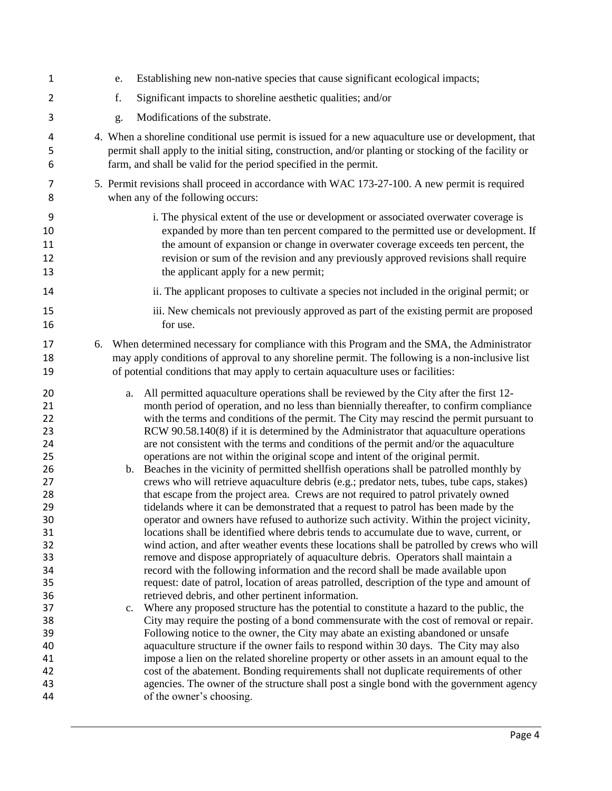| $\mathbf{1}$                                                                                                                           | Establishing new non-native species that cause significant ecological impacts;<br>e.                                                                                                                                                                                                                                                                                                                                                                                                                                                                                                                                                                                                                                                                                                                                                                                                                                                                                                                                                                                                                                                                                                                                                                                                                                                                                                                                                                                                                                                                                                                                                                                                                                                                                                                                                                                                                                                                                                                                                                                                                                            |
|----------------------------------------------------------------------------------------------------------------------------------------|---------------------------------------------------------------------------------------------------------------------------------------------------------------------------------------------------------------------------------------------------------------------------------------------------------------------------------------------------------------------------------------------------------------------------------------------------------------------------------------------------------------------------------------------------------------------------------------------------------------------------------------------------------------------------------------------------------------------------------------------------------------------------------------------------------------------------------------------------------------------------------------------------------------------------------------------------------------------------------------------------------------------------------------------------------------------------------------------------------------------------------------------------------------------------------------------------------------------------------------------------------------------------------------------------------------------------------------------------------------------------------------------------------------------------------------------------------------------------------------------------------------------------------------------------------------------------------------------------------------------------------------------------------------------------------------------------------------------------------------------------------------------------------------------------------------------------------------------------------------------------------------------------------------------------------------------------------------------------------------------------------------------------------------------------------------------------------------------------------------------------------|
| $\overline{2}$                                                                                                                         | Significant impacts to shoreline aesthetic qualities; and/or<br>f.                                                                                                                                                                                                                                                                                                                                                                                                                                                                                                                                                                                                                                                                                                                                                                                                                                                                                                                                                                                                                                                                                                                                                                                                                                                                                                                                                                                                                                                                                                                                                                                                                                                                                                                                                                                                                                                                                                                                                                                                                                                              |
| 3                                                                                                                                      | Modifications of the substrate.<br>g.                                                                                                                                                                                                                                                                                                                                                                                                                                                                                                                                                                                                                                                                                                                                                                                                                                                                                                                                                                                                                                                                                                                                                                                                                                                                                                                                                                                                                                                                                                                                                                                                                                                                                                                                                                                                                                                                                                                                                                                                                                                                                           |
| 4<br>5<br>6                                                                                                                            | 4. When a shoreline conditional use permit is issued for a new aquaculture use or development, that<br>permit shall apply to the initial siting, construction, and/or planting or stocking of the facility or<br>farm, and shall be valid for the period specified in the permit.                                                                                                                                                                                                                                                                                                                                                                                                                                                                                                                                                                                                                                                                                                                                                                                                                                                                                                                                                                                                                                                                                                                                                                                                                                                                                                                                                                                                                                                                                                                                                                                                                                                                                                                                                                                                                                               |
| 7<br>8                                                                                                                                 | 5. Permit revisions shall proceed in accordance with WAC 173-27-100. A new permit is required<br>when any of the following occurs:                                                                                                                                                                                                                                                                                                                                                                                                                                                                                                                                                                                                                                                                                                                                                                                                                                                                                                                                                                                                                                                                                                                                                                                                                                                                                                                                                                                                                                                                                                                                                                                                                                                                                                                                                                                                                                                                                                                                                                                              |
| 9<br>10<br>11<br>12<br>13                                                                                                              | i. The physical extent of the use or development or associated overwater coverage is<br>expanded by more than ten percent compared to the permitted use or development. If<br>the amount of expansion or change in overwater coverage exceeds ten percent, the<br>revision or sum of the revision and any previously approved revisions shall require<br>the applicant apply for a new permit;                                                                                                                                                                                                                                                                                                                                                                                                                                                                                                                                                                                                                                                                                                                                                                                                                                                                                                                                                                                                                                                                                                                                                                                                                                                                                                                                                                                                                                                                                                                                                                                                                                                                                                                                  |
| 14                                                                                                                                     | ii. The applicant proposes to cultivate a species not included in the original permit; or                                                                                                                                                                                                                                                                                                                                                                                                                                                                                                                                                                                                                                                                                                                                                                                                                                                                                                                                                                                                                                                                                                                                                                                                                                                                                                                                                                                                                                                                                                                                                                                                                                                                                                                                                                                                                                                                                                                                                                                                                                       |
| 15<br>16                                                                                                                               | iii. New chemicals not previously approved as part of the existing permit are proposed<br>for use.                                                                                                                                                                                                                                                                                                                                                                                                                                                                                                                                                                                                                                                                                                                                                                                                                                                                                                                                                                                                                                                                                                                                                                                                                                                                                                                                                                                                                                                                                                                                                                                                                                                                                                                                                                                                                                                                                                                                                                                                                              |
| 17<br>18<br>19                                                                                                                         | When determined necessary for compliance with this Program and the SMA, the Administrator<br>6.<br>may apply conditions of approval to any shoreline permit. The following is a non-inclusive list<br>of potential conditions that may apply to certain aquaculture uses or facilities:                                                                                                                                                                                                                                                                                                                                                                                                                                                                                                                                                                                                                                                                                                                                                                                                                                                                                                                                                                                                                                                                                                                                                                                                                                                                                                                                                                                                                                                                                                                                                                                                                                                                                                                                                                                                                                         |
| 20<br>21<br>22<br>23<br>24<br>25<br>26<br>27<br>28<br>29<br>30<br>31<br>32<br>33<br>34<br>35<br>36<br>37<br>38<br>39<br>40<br>41<br>42 | All permitted aquaculture operations shall be reviewed by the City after the first 12-<br>a.<br>month period of operation, and no less than biennially thereafter, to confirm compliance<br>with the terms and conditions of the permit. The City may rescind the permit pursuant to<br>RCW 90.58.140(8) if it is determined by the Administrator that aquaculture operations<br>are not consistent with the terms and conditions of the permit and/or the aquaculture<br>operations are not within the original scope and intent of the original permit.<br>Beaches in the vicinity of permitted shell fish operations shall be patrolled monthly by<br>b.<br>crews who will retrieve aquaculture debris (e.g.; predator nets, tubes, tube caps, stakes)<br>that escape from the project area. Crews are not required to patrol privately owned<br>tidelands where it can be demonstrated that a request to patrol has been made by the<br>operator and owners have refused to authorize such activity. Within the project vicinity,<br>locations shall be identified where debris tends to accumulate due to wave, current, or<br>wind action, and after weather events these locations shall be patrolled by crews who will<br>remove and dispose appropriately of aquaculture debris. Operators shall maintain a<br>record with the following information and the record shall be made available upon<br>request: date of patrol, location of areas patrolled, description of the type and amount of<br>retrieved debris, and other pertinent information.<br>Where any proposed structure has the potential to constitute a hazard to the public, the<br>c.<br>City may require the posting of a bond commensurate with the cost of removal or repair.<br>Following notice to the owner, the City may abate an existing abandoned or unsafe<br>aquaculture structure if the owner fails to respond within 30 days. The City may also<br>impose a lien on the related shoreline property or other assets in an amount equal to the<br>cost of the abatement. Bonding requirements shall not duplicate requirements of other |
| 43<br>44                                                                                                                               | agencies. The owner of the structure shall post a single bond with the government agency<br>of the owner's choosing.                                                                                                                                                                                                                                                                                                                                                                                                                                                                                                                                                                                                                                                                                                                                                                                                                                                                                                                                                                                                                                                                                                                                                                                                                                                                                                                                                                                                                                                                                                                                                                                                                                                                                                                                                                                                                                                                                                                                                                                                            |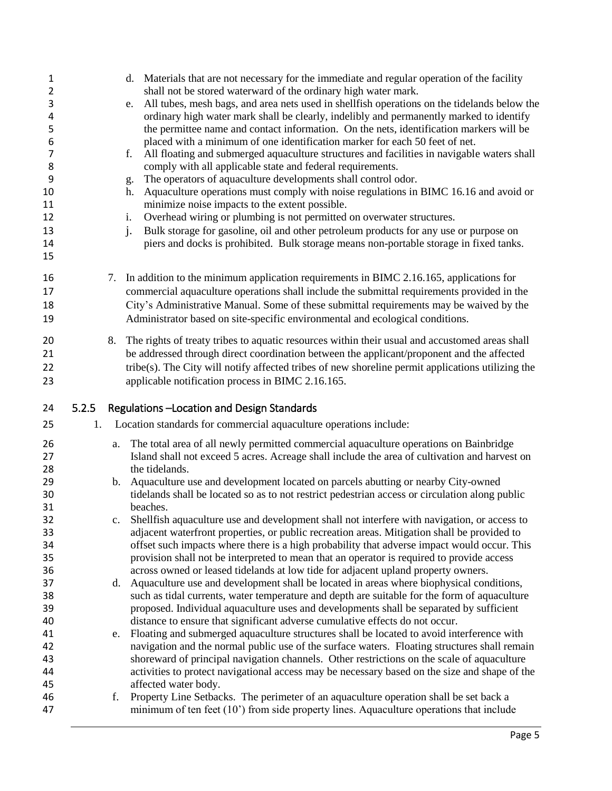| 1<br>$\overline{2}$ |       |    | d. Materials that are not necessary for the immediate and regular operation of the facility<br>shall not be stored waterward of the ordinary high water mark.                             |
|---------------------|-------|----|-------------------------------------------------------------------------------------------------------------------------------------------------------------------------------------------|
| 3                   |       |    | All tubes, mesh bags, and area nets used in shell fish operations on the tidelands below the                                                                                              |
|                     |       |    | e.<br>ordinary high water mark shall be clearly, indelibly and permanently marked to identify                                                                                             |
| 4                   |       |    |                                                                                                                                                                                           |
| 5                   |       |    | the permittee name and contact information. On the nets, identification markers will be                                                                                                   |
| 6                   |       |    | placed with a minimum of one identification marker for each 50 feet of net.                                                                                                               |
| 7                   |       |    | All floating and submerged aquaculture structures and facilities in navigable waters shall<br>f.                                                                                          |
| 8                   |       |    | comply with all applicable state and federal requirements.                                                                                                                                |
| 9                   |       |    | The operators of aquaculture developments shall control odor.<br>g.                                                                                                                       |
| 10                  |       |    | Aquaculture operations must comply with noise regulations in BIMC 16.16 and avoid or<br>h.                                                                                                |
| 11                  |       |    | minimize noise impacts to the extent possible.                                                                                                                                            |
| 12                  |       |    | Overhead wiring or plumbing is not permitted on overwater structures.<br>i.                                                                                                               |
| 13                  |       |    | Bulk storage for gasoline, oil and other petroleum products for any use or purpose on<br>$\mathbf{i}$ .                                                                                   |
| 14                  |       |    | piers and docks is prohibited. Bulk storage means non-portable storage in fixed tanks.                                                                                                    |
| 15                  |       |    |                                                                                                                                                                                           |
| 16                  |       |    | 7. In addition to the minimum application requirements in BIMC 2.16.165, applications for                                                                                                 |
| 17                  |       |    | commercial aquaculture operations shall include the submittal requirements provided in the                                                                                                |
| 18                  |       |    | City's Administrative Manual. Some of these submittal requirements may be waived by the                                                                                                   |
|                     |       |    |                                                                                                                                                                                           |
| 19                  |       |    | Administrator based on site-specific environmental and ecological conditions.                                                                                                             |
| 20                  |       | 8. | The rights of treaty tribes to aquatic resources within their usual and accustomed areas shall                                                                                            |
| 21                  |       |    | be addressed through direct coordination between the applicant/proponent and the affected                                                                                                 |
| 22                  |       |    | tribe(s). The City will notify affected tribes of new shoreline permit applications utilizing the                                                                                         |
| 23                  |       |    | applicable notification process in BIMC 2.16.165.                                                                                                                                         |
|                     |       |    |                                                                                                                                                                                           |
|                     |       |    |                                                                                                                                                                                           |
| 24                  | 5.2.5 |    | Regulations -Location and Design Standards                                                                                                                                                |
| 25                  | 1.    |    | Location standards for commercial aquaculture operations include:                                                                                                                         |
| 26                  |       |    |                                                                                                                                                                                           |
| 27                  |       |    | a. The total area of all newly permitted commercial aquaculture operations on Bainbridge                                                                                                  |
|                     |       |    | Island shall not exceed 5 acres. Acreage shall include the area of cultivation and harvest on<br>the tidelands.                                                                           |
| 28                  |       |    |                                                                                                                                                                                           |
| 29                  |       |    | b. Aquaculture use and development located on parcels abutting or nearby City-owned                                                                                                       |
| 30                  |       |    | tidelands shall be located so as to not restrict pedestrian access or circulation along public                                                                                            |
| 31                  |       |    | beaches.                                                                                                                                                                                  |
| 32                  |       |    | Shellfish aquaculture use and development shall not interfere with navigation, or access to                                                                                               |
| 33                  |       |    | adjacent waterfront properties, or public recreation areas. Mitigation shall be provided to                                                                                               |
| 34                  |       |    | offset such impacts where there is a high probability that adverse impact would occur. This                                                                                               |
| 35                  |       |    | provision shall not be interpreted to mean that an operator is required to provide access                                                                                                 |
| 36                  |       |    | across owned or leased tidelands at low tide for adjacent upland property owners.                                                                                                         |
| 37                  |       |    | d. Aquaculture use and development shall be located in areas where biophysical conditions,                                                                                                |
| 38                  |       |    | such as tidal currents, water temperature and depth are suitable for the form of aquaculture                                                                                              |
| 39                  |       |    | proposed. Individual aquaculture uses and developments shall be separated by sufficient                                                                                                   |
| 40                  |       |    | distance to ensure that significant adverse cumulative effects do not occur.                                                                                                              |
| 41                  |       |    | e. Floating and submerged aquaculture structures shall be located to avoid interference with                                                                                              |
| 42                  |       |    | navigation and the normal public use of the surface waters. Floating structures shall remain                                                                                              |
| 43                  |       |    | shoreward of principal navigation channels. Other restrictions on the scale of aquaculture                                                                                                |
| 44                  |       |    | activities to protect navigational access may be necessary based on the size and shape of the                                                                                             |
| 45                  |       |    | affected water body.                                                                                                                                                                      |
| 46<br>47            |       | f. | Property Line Setbacks. The perimeter of an aquaculture operation shall be set back a<br>minimum of ten feet $(10^{\circ})$ from side property lines. Aquaculture operations that include |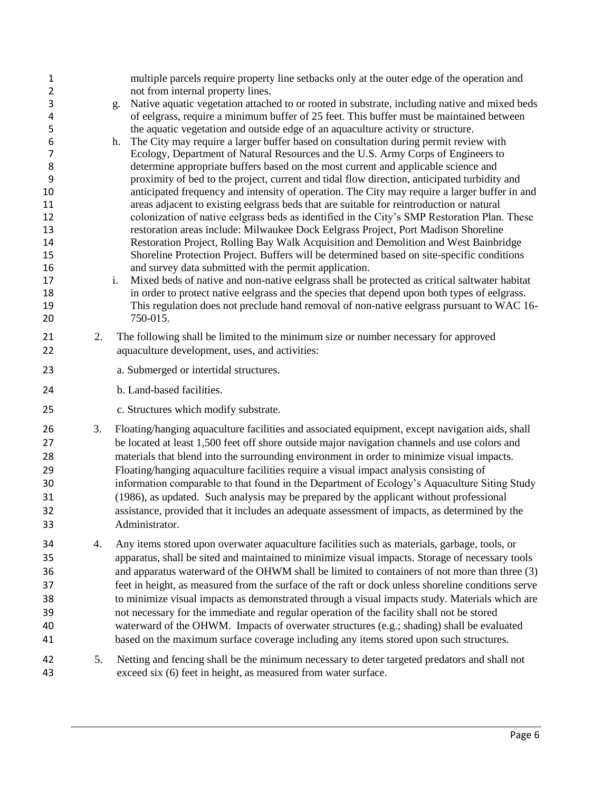| $\mathbf{1}$<br>$\overline{2}$ |    | multiple parcels require property line setbacks only at the outer edge of the operation and<br>not from internal property lines.                                                       |
|--------------------------------|----|----------------------------------------------------------------------------------------------------------------------------------------------------------------------------------------|
| 3                              |    | Native aquatic vegetation attached to or rooted in substrate, including native and mixed beds<br>g.                                                                                    |
| 4                              |    | of eelgrass, require a minimum buffer of 25 feet. This buffer must be maintained between                                                                                               |
| 5<br>6                         |    | the aquatic vegetation and outside edge of an aquaculture activity or structure.<br>The City may require a larger buffer based on consultation during permit review with<br>h.         |
| $\overline{7}$                 |    | Ecology, Department of Natural Resources and the U.S. Army Corps of Engineers to                                                                                                       |
| $\,8\,$                        |    | determine appropriate buffers based on the most current and applicable science and                                                                                                     |
| 9                              |    | proximity of bed to the project, current and tidal flow direction, anticipated turbidity and                                                                                           |
| 10                             |    | anticipated frequency and intensity of operation. The City may require a larger buffer in and                                                                                          |
| 11<br>12                       |    | areas adjacent to existing eelgrass beds that are suitable for reintroduction or natural                                                                                               |
| 13                             |    | colonization of native eelgrass beds as identified in the City's SMP Restoration Plan. These<br>restoration areas include: Milwaukee Dock Eelgrass Project, Port Madison Shoreline     |
| 14                             |    | Restoration Project, Rolling Bay Walk Acquisition and Demolition and West Bainbridge                                                                                                   |
| 15                             |    | Shoreline Protection Project. Buffers will be determined based on site-specific conditions                                                                                             |
| 16                             |    | and survey data submitted with the permit application.                                                                                                                                 |
| 17                             |    | Mixed beds of native and non-native eelgrass shall be protected as critical saltwater habitat<br>i.                                                                                    |
| 18                             |    | in order to protect native eelgrass and the species that depend upon both types of eelgrass.                                                                                           |
| 19<br>20                       |    | This regulation does not preclude hand removal of non-native eelgrass pursuant to WAC 16-<br>750-015.                                                                                  |
|                                |    |                                                                                                                                                                                        |
| 21                             | 2. | The following shall be limited to the minimum size or number necessary for approved                                                                                                    |
| 22                             |    | aquaculture development, uses, and activities:                                                                                                                                         |
| 23                             |    | a. Submerged or intertidal structures.                                                                                                                                                 |
| 24                             |    | b. Land-based facilities.                                                                                                                                                              |
| 25                             |    | c. Structures which modify substrate.                                                                                                                                                  |
| 26                             | 3. |                                                                                                                                                                                        |
|                                |    | Floating/hanging aquaculture facilities and associated equipment, except navigation aids, shall                                                                                        |
| 27                             |    | be located at least 1,500 feet off shore outside major navigation channels and use colors and                                                                                          |
| 28                             |    | materials that blend into the surrounding environment in order to minimize visual impacts.                                                                                             |
| 29                             |    | Floating/hanging aquaculture facilities require a visual impact analysis consisting of                                                                                                 |
| 30                             |    | information comparable to that found in the Department of Ecology's Aquaculture Siting Study                                                                                           |
| 31                             |    | (1986), as updated. Such analysis may be prepared by the applicant without professional                                                                                                |
| 32                             |    | assistance, provided that it includes an adequate assessment of impacts, as determined by the                                                                                          |
| 33                             |    | Administrator.                                                                                                                                                                         |
| 34                             | 4. | Any items stored upon overwater aquaculture facilities such as materials, garbage, tools, or                                                                                           |
| 35                             |    | apparatus, shall be sited and maintained to minimize visual impacts. Storage of necessary tools                                                                                        |
| 36                             |    | and apparatus waterward of the OHWM shall be limited to containers of not more than three (3)                                                                                          |
| 37                             |    | feet in height, as measured from the surface of the raft or dock unless shoreline conditions serve                                                                                     |
| 38                             |    | to minimize visual impacts as demonstrated through a visual impacts study. Materials which are                                                                                         |
| 39<br>40                       |    | not necessary for the immediate and regular operation of the facility shall not be stored<br>waterward of the OHWM. Impacts of overwater structures (e.g.; shading) shall be evaluated |
| 41                             |    | based on the maximum surface coverage including any items stored upon such structures.                                                                                                 |
|                                |    |                                                                                                                                                                                        |
| 42<br>43                       | 5. | Netting and fencing shall be the minimum necessary to deter targeted predators and shall not<br>exceed six (6) feet in height, as measured from water surface.                         |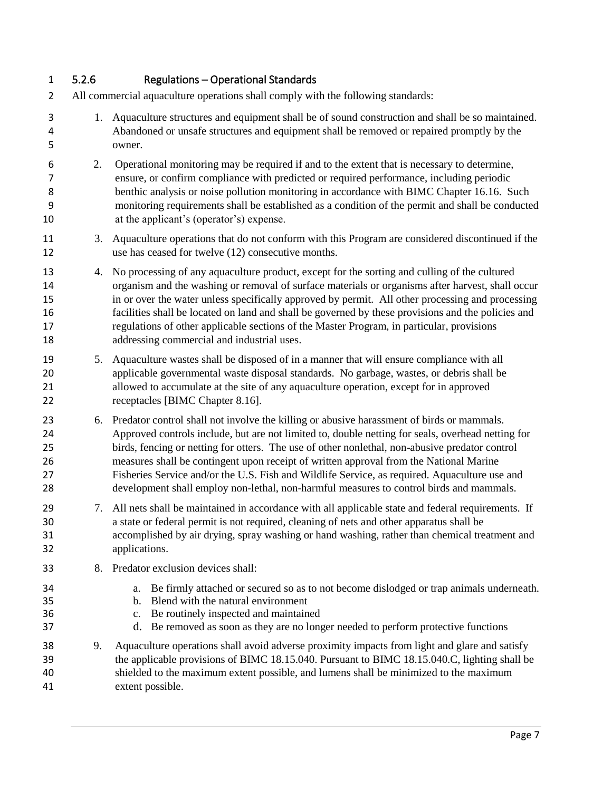## 5.2.6 Regulations – Operational Standards

- All commercial aquaculture operations shall comply with the following standards:
- 1. Aquaculture structures and equipment shall be of sound construction and shall be so maintained. Abandoned or unsafe structures and equipment shall be removed or repaired promptly by the owner.
- 2. Operational monitoring may be required if and to the extent that is necessary to determine, ensure, or confirm compliance with predicted or required performance, including periodic 8 benthic analysis or noise pollution monitoring in accordance with BIMC Chapter 16.16. Such monitoring requirements shall be established as a condition of the permit and shall be conducted at the applicant's (operator's) expense.
- 3. Aquaculture operations that do not conform with this Program are considered discontinued if the use has ceased for twelve (12) consecutive months.
- 4. No processing of any aquaculture product, except for the sorting and culling of the cultured organism and the washing or removal of surface materials or organisms after harvest, shall occur in or over the water unless specifically approved by permit. All other processing and processing facilities shall be located on land and shall be governed by these provisions and the policies and regulations of other applicable sections of the Master Program, in particular, provisions addressing commercial and industrial uses.
- 5. Aquaculture wastes shall be disposed of in a manner that will ensure compliance with all applicable governmental waste disposal standards. No garbage, wastes, or debris shall be allowed to accumulate at the site of any aquaculture operation, except for in approved receptacles [BIMC Chapter 8.16].
- 6. Predator control shall not involve the killing or abusive harassment of birds or mammals. Approved controls include, but are not limited to, double netting for seals, overhead netting for birds, fencing or netting for otters. The use of other nonlethal, non-abusive predator control measures shall be contingent upon receipt of written approval from the National Marine Fisheries Service and/or the U.S. Fish and Wildlife Service, as required. Aquaculture use and development shall employ non-lethal, non-harmful measures to control birds and mammals.
- 7. All nets shall be maintained in accordance with all applicable state and federal requirements. If a state or federal permit is not required, cleaning of nets and other apparatus shall be accomplished by air drying, spray washing or hand washing, rather than chemical treatment and applications.
- 8. Predator exclusion devices shall:
- a. Be firmly attached or secured so as to not become dislodged or trap animals underneath.
- b. Blend with the natural environment
- c. Be routinely inspected and maintained
- d. Be removed as soon as they are no longer needed to perform protective functions
- 9. Aquaculture operations shall avoid adverse proximity impacts from light and glare and satisfy the applicable provisions of BIMC 18.15.040. Pursuant to BIMC 18.15.040.C, lighting shall be shielded to the maximum extent possible, and lumens shall be minimized to the maximum extent possible.